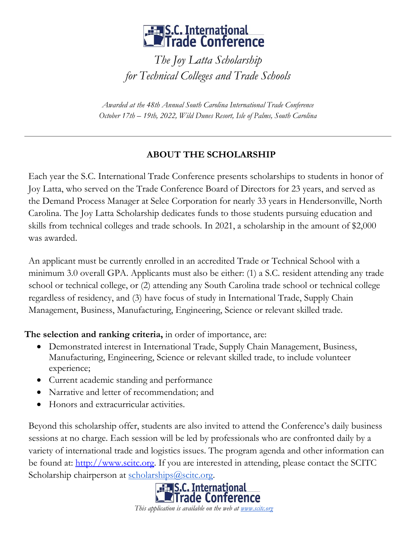## **Example: A S.C. International**<br>**Example: Conference**

*The Joy Latta Scholarship for Technical Colleges and Trade Schools*

*Awarded at the 48th Annual South Carolina International Trade Conference October 17th – 19th, 2022, Wild Dunes Resort, Isle of Palms, South Carolina*

## **ABOUT THE SCHOLARSHIP**

Each year the S.C. International Trade Conference presents scholarships to students in honor of Joy Latta, who served on the Trade Conference Board of Directors for 23 years, and served as the Demand Process Manager at Selee Corporation for nearly 33 years in Hendersonville, North Carolina. The Joy Latta Scholarship dedicates funds to those students pursuing education and skills from technical colleges and trade schools. In 2021, a scholarship in the amount of \$2,000 was awarded.

An applicant must be currently enrolled in an accredited Trade or Technical School with a minimum 3.0 overall GPA. Applicants must also be either: (1) a S.C. resident attending any trade school or technical college, or (2) attending any South Carolina trade school or technical college regardless of residency, and (3) have focus of study in International Trade, Supply Chain Management, Business, Manufacturing, Engineering, Science or relevant skilled trade.

**The selection and ranking criteria,** in order of importance, are:

- Demonstrated interest in International Trade, Supply Chain Management, Business, Manufacturing, Engineering, Science or relevant skilled trade, to include volunteer experience;
- Current academic standing and performance
- Narrative and letter of recommendation; and
- Honors and extracurricular activities.

Beyond this scholarship offer, students are also invited to attend the Conference's daily business sessions at no charge. Each session will be led by professionals who are confronted daily by a variety of international trade and logistics issues. The program agenda and other information can be found at[:](http://www.scitc.org/) [http://www.scitc.org.](http://www.scitc.org/) If you are interested in attending, please contact the SCITC Scholarship chairperson at [scholarships@scitc.org.](mailto:scholarships@scitc.org)



*This application is available on the web at [www.scitc.org](http://www.scitc.org/)*